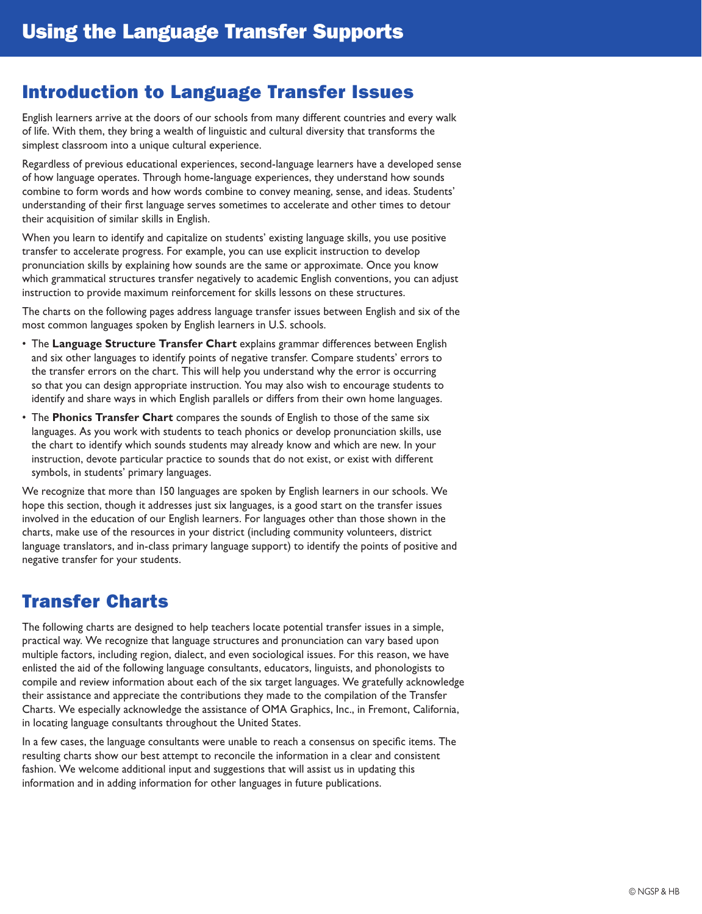## Introduction to Language Transfer Issues

English learners arrive at the doors of our schools from many different countries and every walk of life. With them, they bring a wealth of linguistic and cultural diversity that transforms the simplest classroom into a unique cultural experience.

Regardless of previous educational experiences, second-language learners have a developed sense of how language operates. Through home-language experiences, they understand how sounds combine to form words and how words combine to convey meaning, sense, and ideas. Students' understanding of their first language serves sometimes to accelerate and other times to detour their acquisition of similar skills in English.

When you learn to identify and capitalize on students' existing language skills, you use positive transfer to accelerate progress. For example, you can use explicit instruction to develop pronunciation skills by explaining how sounds are the same or approximate. Once you know which grammatical structures transfer negatively to academic English conventions, you can adjust instruction to provide maximum reinforcement for skills lessons on these structures.

The charts on the following pages address language transfer issues between English and six of the most common languages spoken by English learners in U.S. schools.

- **The Language Structure Transfer Chart** explains grammar differences between English and six other languages to identify points of negative transfer. Compare students' errors to the transfer errors on the chart. This will help you understand why the error is occurring so that you can design appropriate instruction. You may also wish to encourage students to identify and share ways in which English parallels or differs from their own home languages.
- The Phonics Transfer Chart compares the sounds of English to those of the same six languages. As you work with students to teach phonics or develop pronunciation skills, use the chart to identify which sounds students may already know and which are new. In your instruction, devote particular practice to sounds that do not exist, or exist with different symbols, in students' primary languages.

We recognize that more than 150 languages are spoken by English learners in our schools. We hope this section, though it addresses just six languages, is a good start on the transfer issues involved in the education of our English learners. For languages other than those shown in the charts, make use of the resources in your district (including community volunteers, district language translators, and in-class primary language support) to identify the points of positive and negative transfer for your students.

## Transfer Charts

The following charts are designed to help teachers locate potential transfer issues in a simple, practical way. We recognize that language structures and pronunciation can vary based upon multiple factors, including region, dialect, and even sociological issues. For this reason, we have enlisted the aid of the following language consultants, educators, linguists, and phonologists to compile and review information about each of the six target languages. We gratefully acknowledge their assistance and appreciate the contributions they made to the compilation of the Transfer Charts. We especially acknowledge the assistance of OMA Graphics, Inc., in Fremont, California, in locating language consultants throughout the United States.

In a few cases, the language consultants were unable to reach a consensus on specific items. The resulting charts show our best attempt to reconcile the information in a clear and consistent fashion. We welcome additional input and suggestions that will assist us in updating this information and in adding information for other languages in future publications.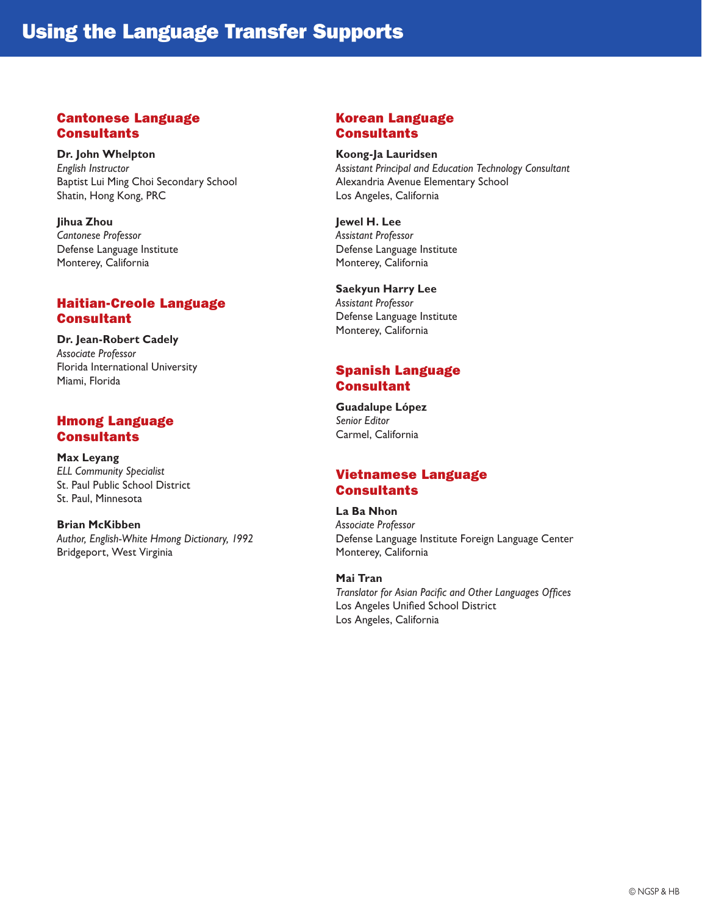## Using the Language Transfer Supports

### Cantonese Language **Consultants**

**Dr. John Whelpton** *English Instructor* Baptist Lui Ming Choi Secondary School Shatin, Hong Kong, PRC

**Jihua Zhou** *Cantonese Professor* Defense Language Institute Monterey, California

### Haitian-Creole Language Consultant

**Dr. Jean-Robert Cadely** *Associate Professor* Florida International University Miami, Florida

### Hmong Language **Consultants**

**Max Leyang** *ELL Community Specialist* St. Paul Public School District St. Paul, Minnesota

**Brian McKibben** *Author, English-White Hmong Dictionary, 1992* Bridgeport, West Virginia

### Korean Language **Consultants**

**Koong-Ja Lauridsen** *Assistant Principal and Education Technology Consultant* Alexandria Avenue Elementary School Los Angeles, California

**Jewel H. Lee** *Assistant Professor* Defense Language Institute Monterey, California

**Saekyun Harry Lee** *Assistant Professor* Defense Language Institute Monterey, California

## Spanish Language **Consultant**

**Guadalupe López** *Senior Editor* Carmel, California

## Vietnamese Language **Consultants**

**La Ba Nhon** *Associate Professor* Defense Language Institute Foreign Language Center Monterey, California

#### **Mai Tran** *Translator for Asian Pacific and Other Languages Offices* Los Angeles Unified School District

Los Angeles, California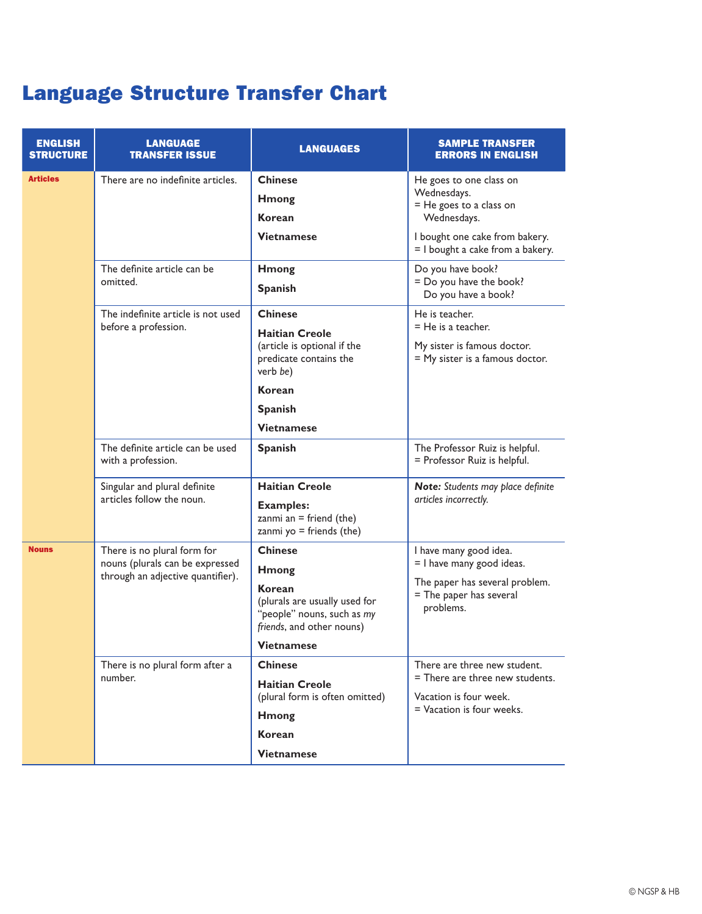# Language Structure Transfer Chart

| <b>ENGLISH</b><br><b>STRUCTURE</b> | <b>LANGUAGE</b><br><b>TRANSFER ISSUE</b>                                                            | <b>LANGUAGES</b>                                                                                                                                          | <b>SAMPLE TRANSFER</b><br><b>ERRORS IN ENGLISH</b>                                                                                                     |  |  |
|------------------------------------|-----------------------------------------------------------------------------------------------------|-----------------------------------------------------------------------------------------------------------------------------------------------------------|--------------------------------------------------------------------------------------------------------------------------------------------------------|--|--|
| <b>Articles</b>                    | There are no indefinite articles.                                                                   | <b>Chinese</b><br><b>H</b> mong<br>Korean<br><b>Vietnamese</b>                                                                                            | He goes to one class on<br>Wednesdays.<br>= He goes to a class on<br>Wednesdays.<br>I bought one cake from bakery.<br>= I bought a cake from a bakery. |  |  |
|                                    | The definite article can be<br>omitted.                                                             | <b>Hmong</b><br><b>Spanish</b>                                                                                                                            | Do you have book?<br>= Do you have the book?<br>Do you have a book?                                                                                    |  |  |
|                                    | The indefinite article is not used<br>before a profession.                                          | <b>Chinese</b><br><b>Haitian Creole</b><br>(article is optional if the<br>predicate contains the<br>verb be)                                              | He is teacher.<br>$=$ He is a teacher.<br>My sister is famous doctor.<br>= My sister is a famous doctor.                                               |  |  |
|                                    |                                                                                                     | Korean<br><b>Spanish</b><br><b>Vietnamese</b>                                                                                                             |                                                                                                                                                        |  |  |
|                                    | The definite article can be used<br>with a profession.                                              | <b>Spanish</b>                                                                                                                                            | The Professor Ruiz is helpful.<br>= Professor Ruiz is helpful.                                                                                         |  |  |
|                                    | Singular and plural definite<br>articles follow the noun.                                           | <b>Haitian Creole</b><br><b>Examples:</b><br>zanmi an $=$ friend (the)<br>zanmi yo = friends (the)                                                        | Note: Students may place definite<br>articles incorrectly.                                                                                             |  |  |
| <b>Nouns</b>                       | There is no plural form for<br>nouns (plurals can be expressed<br>through an adjective quantifier). | <b>Chinese</b><br><b>Hmong</b><br>Korean<br>(plurals are usually used for<br>"people" nouns, such as my<br>friends, and other nouns)<br><b>Vietnamese</b> | I have many good idea.<br>= I have many good ideas.<br>The paper has several problem.<br>= The paper has several<br>problems.                          |  |  |
|                                    | There is no plural form after a<br>number.                                                          | <b>Chinese</b><br><b>Haitian Creole</b><br>(plural form is often omitted)<br><b>Hmong</b><br><b>Korean</b><br><b>Vietnamese</b>                           | There are three new student.<br>$=$ There are three new students.<br>Vacation is four week.<br>= Vacation is four weeks.                               |  |  |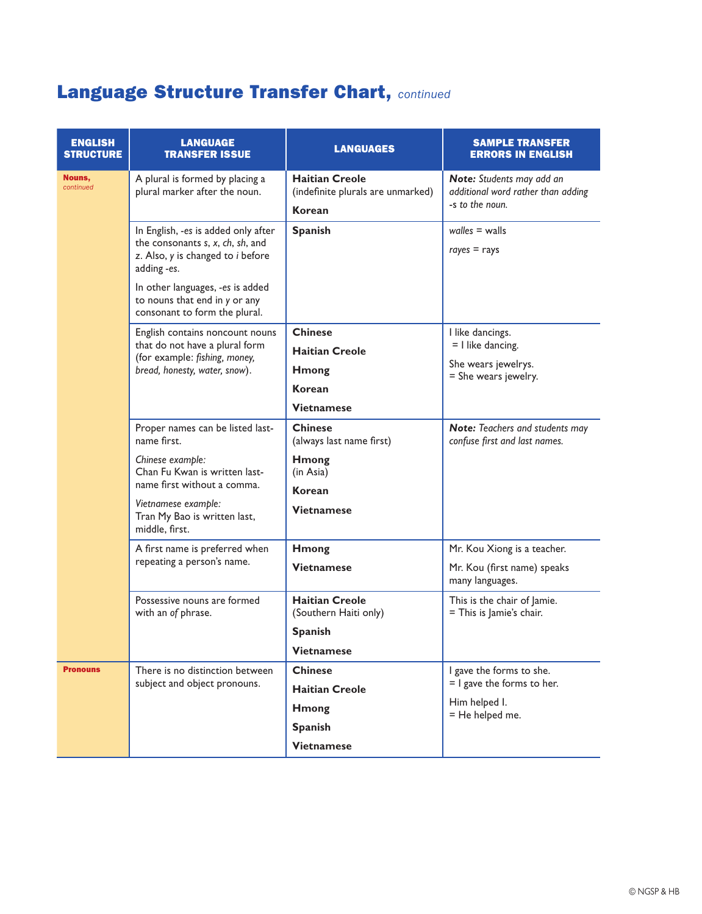| <b>ENGLISH</b><br><b>STRUCTURE</b> | <b>LANGUAGE</b><br><b>TRANSFER ISSUE</b>                                                                                                                                                                                            | <b>LANGUAGES</b>                                                                                       | <b>SAMPLE TRANSFER</b><br><b>ERRORS IN ENGLISH</b>                                           |
|------------------------------------|-------------------------------------------------------------------------------------------------------------------------------------------------------------------------------------------------------------------------------------|--------------------------------------------------------------------------------------------------------|----------------------------------------------------------------------------------------------|
| Nouns,<br>continued                | A plural is formed by placing a<br>plural marker after the noun.                                                                                                                                                                    | <b>Haitian Creole</b><br>(indefinite plurals are unmarked)<br><b>Korean</b>                            | Note: Students may add an<br>additional word rather than adding<br>-s to the noun.           |
|                                    | In English, -es is added only after<br>the consonants $s, x, ch, sh, and$<br>z. Also, y is changed to i before<br>adding -es.<br>In other languages, -es is added<br>to nouns that end in y or any<br>consonant to form the plural. | <b>Spanish</b>                                                                                         | $wallest = walls$<br>$rays = rays$                                                           |
|                                    | English contains noncount nouns<br>that do not have a plural form<br>(for example: fishing, money,<br>bread, honesty, water, snow).                                                                                                 | <b>Chinese</b><br><b>Haitian Creole</b><br><b>H</b> mong<br>Korean<br><b>Vietnamese</b>                | I like dancings.<br>$=$ I like dancing.<br>She wears jewelrys.<br>= She wears jewelry.       |
|                                    | Proper names can be listed last-<br>name first.<br>Chinese example:<br>Chan Fu Kwan is written last-<br>name first without a comma.<br>Vietnamese example:<br>Tran My Bao is written last,<br>middle, first.                        | <b>Chinese</b><br>(always last name first)<br><b>Hmong</b><br>(in Asia)<br>Korean<br><b>Vietnamese</b> | <b>Note:</b> Teachers and students may<br>confuse first and last names.                      |
|                                    | A first name is preferred when<br>repeating a person's name.                                                                                                                                                                        | <b>Hmong</b><br><b>Vietnamese</b>                                                                      | Mr. Kou Xiong is a teacher.<br>Mr. Kou (first name) speaks<br>many languages.                |
|                                    | Possessive nouns are formed<br>with an of phrase.                                                                                                                                                                                   | <b>Haitian Creole</b><br>(Southern Haiti only)<br><b>Spanish</b><br><b>Vietnamese</b>                  | This is the chair of Jamie.<br>= This is Jamie's chair.                                      |
| <b>Pronouns</b>                    | There is no distinction between<br>subject and object pronouns.                                                                                                                                                                     | <b>Chinese</b><br><b>Haitian Creole</b><br><b>Hmong</b><br><b>Spanish</b><br><b>Vietnamese</b>         | I gave the forms to she.<br>$=$ I gave the forms to her.<br>Him helped I.<br>= He helped me. |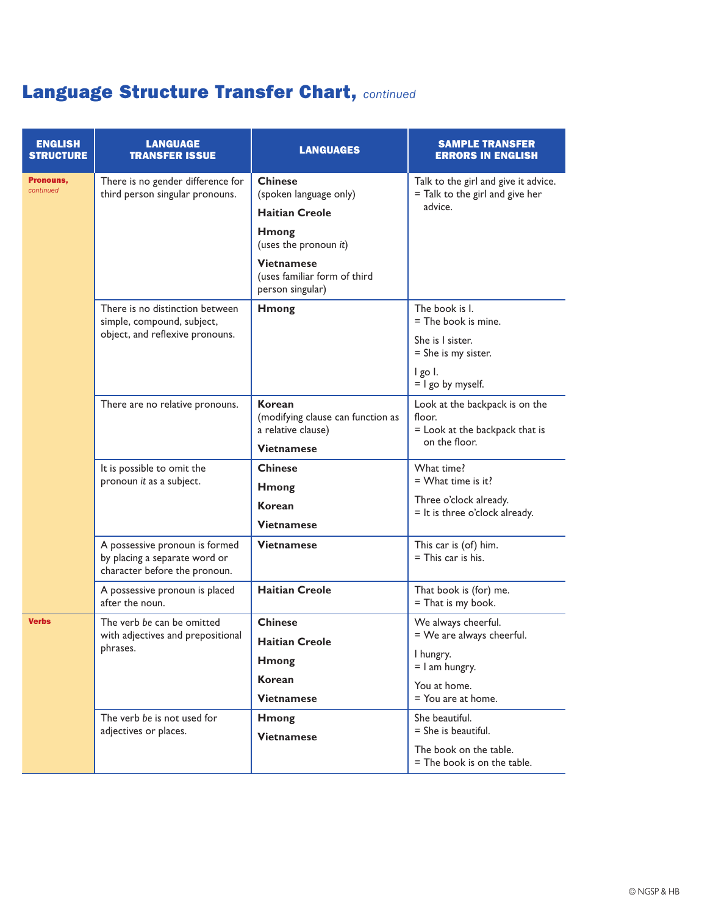| <b>ENGLISH</b><br><b>STRUCTURE</b> | <b>LANGUAGE</b><br><b>TRANSFER ISSUE</b>                                                         | <b>LANGUAGES</b>                                                                                                                                                                    | <b>SAMPLE TRANSFER</b><br><b>ERRORS IN ENGLISH</b>                                                                      |
|------------------------------------|--------------------------------------------------------------------------------------------------|-------------------------------------------------------------------------------------------------------------------------------------------------------------------------------------|-------------------------------------------------------------------------------------------------------------------------|
| Pronouns,<br>continued             | There is no gender difference for<br>third person singular pronouns.                             | <b>Chinese</b><br>(spoken language only)<br><b>Haitian Creole</b><br><b>Hmong</b><br>(uses the pronoun it)<br><b>Vietnamese</b><br>(uses familiar form of third<br>person singular) | Talk to the girl and give it advice.<br>= Talk to the girl and give her<br>advice.                                      |
|                                    | There is no distinction between<br>simple, compound, subject,<br>object, and reflexive pronouns. | <b>Hmong</b>                                                                                                                                                                        | The book is I.<br>= The book is mine.<br>She is I sister.<br>= She is my sister.<br>I go I.<br>$=$ I go by myself.      |
|                                    | There are no relative pronouns.                                                                  | <b>Korean</b><br>(modifying clause can function as<br>a relative clause)<br><b>Vietnamese</b>                                                                                       | Look at the backpack is on the<br>floor.<br>= Look at the backpack that is<br>on the floor.                             |
|                                    | It is possible to omit the<br>pronoun it as a subject.                                           | <b>Chinese</b><br><b>H</b> mong<br><b>Korean</b><br><b>Vietnamese</b>                                                                                                               | What time?<br>$=$ What time is it?<br>Three o'clock already.<br>= It is three o'clock already.                          |
|                                    | A possessive pronoun is formed<br>by placing a separate word or<br>character before the pronoun. | <b>Vietnamese</b>                                                                                                                                                                   | This car is (of) him.<br>= This car is his.                                                                             |
|                                    | A possessive pronoun is placed<br>after the noun.                                                | <b>Haitian Creole</b>                                                                                                                                                               | That book is (for) me.<br>= That is my book.                                                                            |
| <b>Verbs</b>                       | The verb be can be omitted<br>with adjectives and prepositional<br>phrases.                      | <b>Chinese</b><br><b>Haitian Creole</b><br><b>H</b> mong<br><b>Korean</b><br><b>Vietnamese</b>                                                                                      | We always cheerful.<br>= We are always cheerful.<br>I hungry.<br>$= 1$ am hungry.<br>You at home.<br>= You are at home. |
|                                    | The verb be is not used for<br>adjectives or places.                                             | <b>Hmong</b><br><b>Vietnamese</b>                                                                                                                                                   | She beautiful.<br>$=$ She is beautiful.<br>The book on the table.<br>$=$ The book is on the table.                      |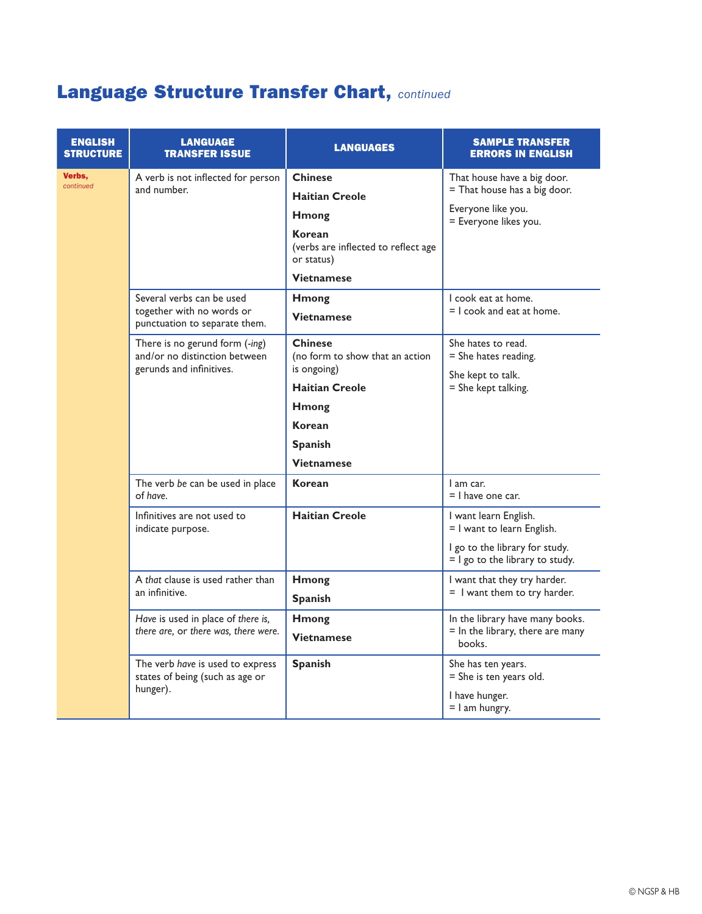| <b>ENGLISH</b><br><b>STRUCTURE</b> | <b>LANGUAGE</b><br><b>TRANSFER ISSUE</b>                                                                                                    | <b>LANGUAGES</b>                                                                                                                                                                   | <b>SAMPLE TRANSFER</b><br><b>ERRORS IN ENGLISH</b>                                                                                              |
|------------------------------------|---------------------------------------------------------------------------------------------------------------------------------------------|------------------------------------------------------------------------------------------------------------------------------------------------------------------------------------|-------------------------------------------------------------------------------------------------------------------------------------------------|
| Verbs,<br>continued                | A verb is not inflected for person<br>and number.                                                                                           | <b>Chinese</b><br><b>Haitian Creole</b><br><b>H</b> mong<br>Korean<br>(verbs are inflected to reflect age<br>or status)<br><b>Vietnamese</b>                                       | That house have a big door.<br>= That house has a big door.<br>Everyone like you.<br>= Everyone likes you.                                      |
|                                    | Several verbs can be used<br>together with no words or<br>punctuation to separate them.                                                     | <b>H</b> mong<br><b>Vietnamese</b>                                                                                                                                                 | I cook eat at home.<br>$=$ I cook and eat at home.                                                                                              |
|                                    | There is no gerund form (-ing)<br>and/or no distinction between<br>gerunds and infinitives.<br>The verb be can be used in place<br>of have. | <b>Chinese</b><br>(no form to show that an action<br>is ongoing)<br><b>Haitian Creole</b><br><b>Hmong</b><br><b>Korean</b><br><b>Spanish</b><br><b>Vietnamese</b><br><b>Korean</b> | She hates to read.<br>= She hates reading.<br>She kept to talk.<br>= She kept talking.<br>I am car.                                             |
|                                    | Infinitives are not used to<br>indicate purpose.                                                                                            | <b>Haitian Creole</b>                                                                                                                                                              | = I have one car.<br>I want learn English.<br>= I want to learn English.<br>I go to the library for study.<br>$=$ I go to the library to study. |
|                                    | A that clause is used rather than<br>an infinitive.                                                                                         | <b>Hmong</b><br><b>Spanish</b>                                                                                                                                                     | I want that they try harder.<br>$=$ I want them to try harder.                                                                                  |
|                                    | Have is used in place of there is,<br>there are, or there was, there were.                                                                  | <b>H</b> mong<br><b>Vietnamese</b>                                                                                                                                                 | In the library have many books.<br>= In the library, there are many<br>books.                                                                   |
|                                    | The verb have is used to express<br>states of being (such as age or<br>hunger).                                                             | <b>Spanish</b>                                                                                                                                                                     | She has ten years.<br>= She is ten years old.<br>I have hunger.<br>$= 1$ am hungry.                                                             |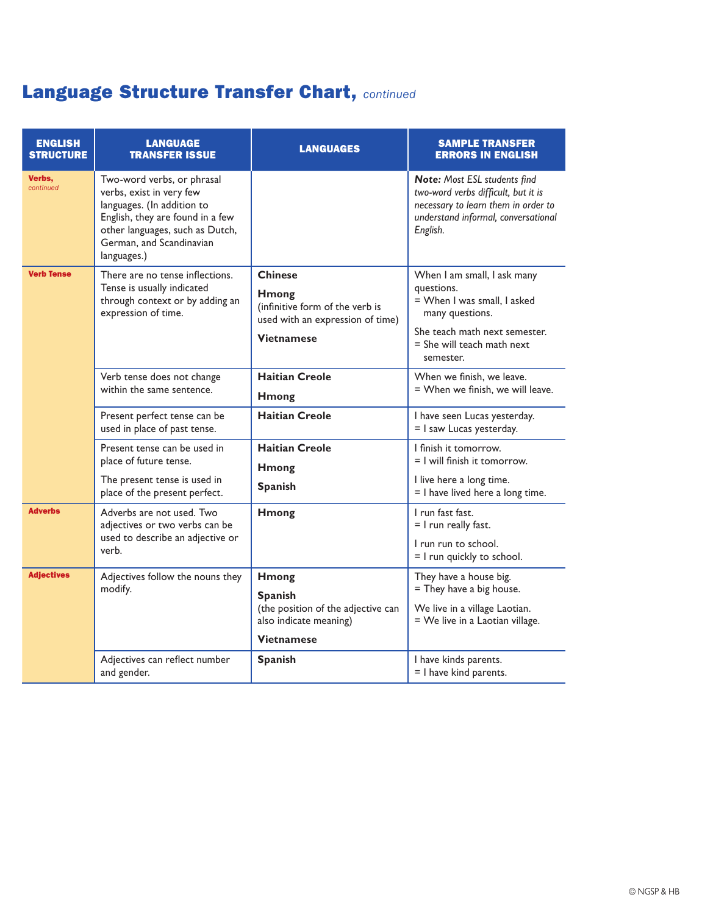| <b>ENGLISH</b><br><b>STRUCTURE</b> | <b>LANGUAGE</b><br><b>TRANSFER ISSUE</b>                                                                                                                                                               | <b>LANGUAGES</b>                                                                                                            | <b>SAMPLE TRANSFER</b><br><b>ERRORS IN ENGLISH</b>                                                                                                                        |  |
|------------------------------------|--------------------------------------------------------------------------------------------------------------------------------------------------------------------------------------------------------|-----------------------------------------------------------------------------------------------------------------------------|---------------------------------------------------------------------------------------------------------------------------------------------------------------------------|--|
| Verbs,<br>continued                | Two-word verbs, or phrasal<br>verbs, exist in very few<br>languages. (In addition to<br>English, they are found in a few<br>other languages, such as Dutch,<br>German, and Scandinavian<br>languages.) |                                                                                                                             | <b>Note:</b> Most ESL students find<br>two-word verbs difficult, but it is<br>necessary to learn them in order to<br>understand informal, conversational<br>English.      |  |
| <b>Verb Tense</b>                  | There are no tense inflections.<br>Tense is usually indicated<br>through context or by adding an<br>expression of time.                                                                                | <b>Chinese</b><br><b>H</b> mong<br>(infinitive form of the verb is<br>used with an expression of time)<br><b>Vietnamese</b> | When I am small, I ask many<br>questions.<br>= When I was small, I asked<br>many questions.<br>She teach math next semester.<br>$=$ She will teach math next<br>semester. |  |
|                                    | Verb tense does not change<br>within the same sentence.                                                                                                                                                | <b>Haitian Creole</b><br><b>H</b> mong                                                                                      | When we finish, we leave.<br>= When we finish, we will leave.                                                                                                             |  |
|                                    | Present perfect tense can be<br>used in place of past tense.                                                                                                                                           | <b>Haitian Creole</b>                                                                                                       | I have seen Lucas yesterday.<br>= I saw Lucas yesterday.                                                                                                                  |  |
|                                    | Present tense can be used in<br>place of future tense.                                                                                                                                                 | <b>Haitian Creole</b><br><b>H</b> mong                                                                                      | I finish it tomorrow.<br>= I will finish it tomorrow.                                                                                                                     |  |
|                                    | The present tense is used in<br>place of the present perfect.                                                                                                                                          | <b>Spanish</b>                                                                                                              | I live here a long time.<br>= I have lived here a long time.                                                                                                              |  |
| <b>Adverbs</b>                     | Adverbs are not used. Two<br>adjectives or two verbs can be<br>used to describe an adjective or<br>verb.                                                                                               | <b>H</b> mong                                                                                                               | I run fast fast.<br>$=$ I run really fast.<br>I run run to school.<br>= I run quickly to school.                                                                          |  |
| <b>Adjectives</b>                  | Adjectives follow the nouns they<br>modify.                                                                                                                                                            | <b>H</b> mong<br><b>Spanish</b><br>(the position of the adjective can<br>also indicate meaning)<br><b>Vietnamese</b>        | They have a house big.<br>= They have a big house.<br>We live in a village Laotian.<br>= We live in a Laotian village.                                                    |  |
|                                    | Adjectives can reflect number<br>and gender.                                                                                                                                                           | <b>Spanish</b>                                                                                                              | I have kinds parents.<br>= I have kind parents.                                                                                                                           |  |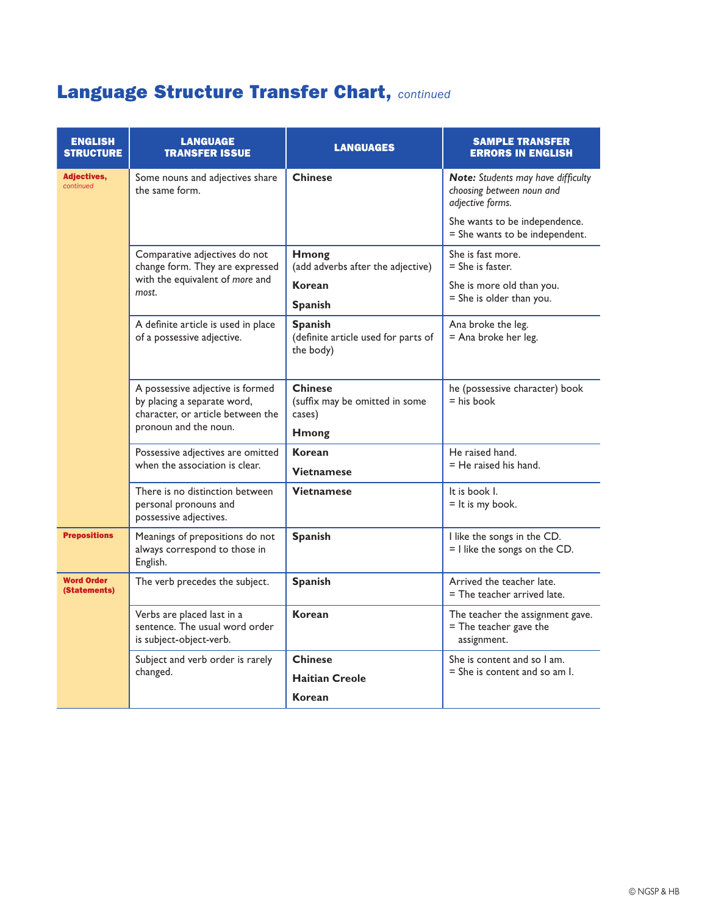| <b>ENGLISH</b><br><b>STRUCTURE</b> | <b>LANGUAGE</b><br><b>TRANSFER ISSUE</b>                                                                                      | <b>LANGUAGES</b>                                                            | <b>SAMPLE TRANSFER</b><br><b>ERRORS IN ENGLISH</b>                                  |
|------------------------------------|-------------------------------------------------------------------------------------------------------------------------------|-----------------------------------------------------------------------------|-------------------------------------------------------------------------------------|
| Adjectives,<br>continued           | Some nouns and adjectives share<br>the same form.                                                                             | <b>Chinese</b>                                                              | Note: Students may have difficulty<br>choosing between noun and<br>adjective forms. |
|                                    |                                                                                                                               |                                                                             | She wants to be independence.<br>= She wants to be independent.                     |
|                                    | Comparative adjectives do not<br>change form. They are expressed                                                              | <b>Hmong</b><br>(add adverbs after the adjective)                           | She is fast more.<br>$=$ She is faster.                                             |
|                                    | with the equivalent of more and<br>most.                                                                                      | Korean<br><b>Spanish</b>                                                    | She is more old than you.<br>= She is older than you.                               |
|                                    | A definite article is used in place<br>of a possessive adjective.                                                             | <b>Spanish</b><br>(definite article used for parts of<br>the body)          | Ana broke the leg.<br>= Ana broke her leg.                                          |
|                                    | A possessive adjective is formed<br>by placing a separate word,<br>character, or article between the<br>pronoun and the noun. | <b>Chinese</b><br>(suffix may be omitted in some<br>cases)<br><b>H</b> mong | he (possessive character) book<br>$=$ his book                                      |
|                                    | Possessive adjectives are omitted<br>when the association is clear.                                                           | Korean<br>Vietnamese                                                        | He raised hand.<br>$=$ He raised his hand.                                          |
|                                    | There is no distinction between<br>personal pronouns and<br>possessive adjectives.                                            | <b>Vietnamese</b>                                                           | It is book I.<br>$=$ It is my book.                                                 |
| <b>Prepositions</b>                | Meanings of prepositions do not<br>always correspond to those in<br>English.                                                  | <b>Spanish</b>                                                              | I like the songs in the CD.<br>$=$ I like the songs on the CD.                      |
| <b>Word Order</b><br>(Statements)  | The verb precedes the subject.                                                                                                | <b>Spanish</b>                                                              | Arrived the teacher late.<br>$=$ The teacher arrived late.                          |
|                                    | Verbs are placed last in a<br>sentence. The usual word order<br>is subject-object-verb.                                       | <b>Korean</b>                                                               | The teacher the assignment gave.<br>$=$ The teacher gave the<br>assignment.         |
|                                    | Subject and verb order is rarely<br>changed.                                                                                  | <b>Chinese</b><br><b>Haitian Creole</b>                                     | She is content and so I am.<br>$=$ She is content and so am I.                      |
|                                    |                                                                                                                               | <b>Korean</b>                                                               |                                                                                     |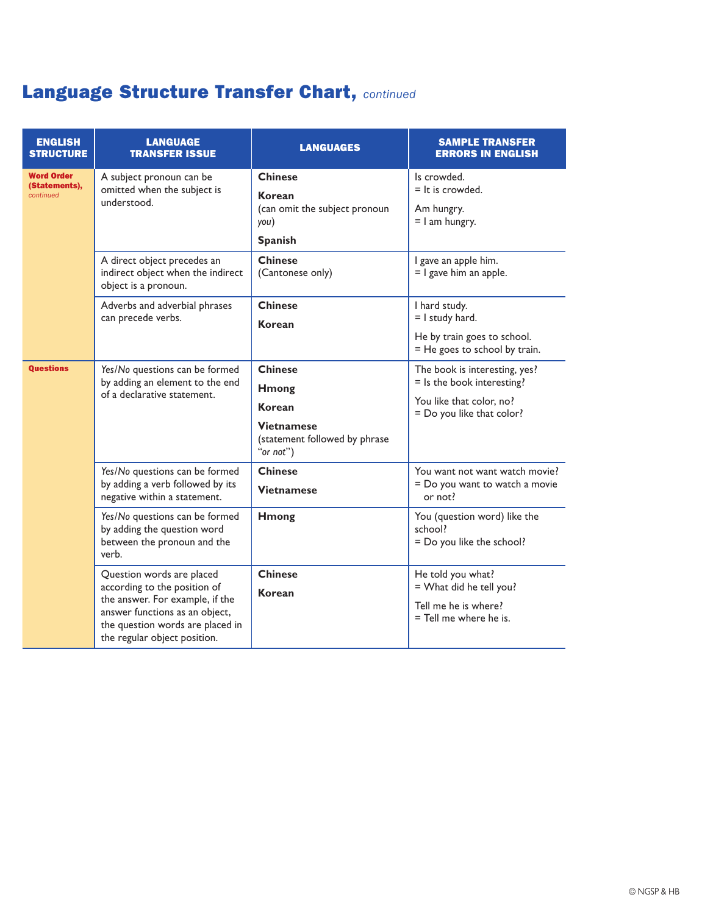| <b>ENGLISH</b><br><b>STRUCTURE</b>              | <b>LANGUAGE</b><br><b>TRANSFER ISSUE</b>                                                                                                                                                                                                  | <b>LANGUAGES</b>                                                                                                          | <b>SAMPLE TRANSFER</b><br><b>ERRORS IN ENGLISH</b>                                                                                     |  |
|-------------------------------------------------|-------------------------------------------------------------------------------------------------------------------------------------------------------------------------------------------------------------------------------------------|---------------------------------------------------------------------------------------------------------------------------|----------------------------------------------------------------------------------------------------------------------------------------|--|
| <b>Word Order</b><br>(Statements),<br>continued | A subject pronoun can be<br>omitted when the subject is<br>understood.<br>A direct object precedes an<br>indirect object when the indirect<br>object is a pronoun.                                                                        | <b>Chinese</b><br>Korean<br>(can omit the subject pronoun<br>you)<br><b>Spanish</b><br><b>Chinese</b><br>(Cantonese only) | Is crowded.<br>$=$ It is crowded.<br>Am hungry.<br>$= 1$ am hungry.<br>I gave an apple him.<br>= I gave him an apple.                  |  |
|                                                 | Adverbs and adverbial phrases<br>can precede verbs.                                                                                                                                                                                       | <b>Chinese</b><br>Korean                                                                                                  | I hard study.<br>$=$ I study hard.<br>He by train goes to school.<br>= He goes to school by train.                                     |  |
| <b>Questions</b>                                | Yes/No questions can be formed<br>by adding an element to the end<br>of a declarative statement.                                                                                                                                          | <b>Chinese</b><br><b>Hmong</b><br>Korean<br><b>Vietnamese</b><br>(statement followed by phrase<br>"or not")               | The book is interesting, yes?<br>= Is the book interesting?<br>You like that color, no?<br>= Do you like that color?                   |  |
|                                                 | Yes/No questions can be formed<br>by adding a verb followed by its<br>negative within a statement.<br>Yes/No questions can be formed                                                                                                      | <b>Chinese</b><br><b>Vietnamese</b><br><b>Hmong</b>                                                                       | You want not want watch movie?<br>= Do you want to watch a movie<br>or not?<br>You (question word) like the                            |  |
|                                                 | by adding the question word<br>between the pronoun and the<br>verb.<br>Question words are placed<br>according to the position of<br>the answer. For example, if the<br>answer functions as an object,<br>the question words are placed in | <b>Chinese</b><br>Korean                                                                                                  | school?<br>= Do you like the school?<br>He told you what?<br>= What did he tell you?<br>Tell me he is where?<br>= Tell me where he is. |  |
|                                                 | the regular object position.                                                                                                                                                                                                              |                                                                                                                           |                                                                                                                                        |  |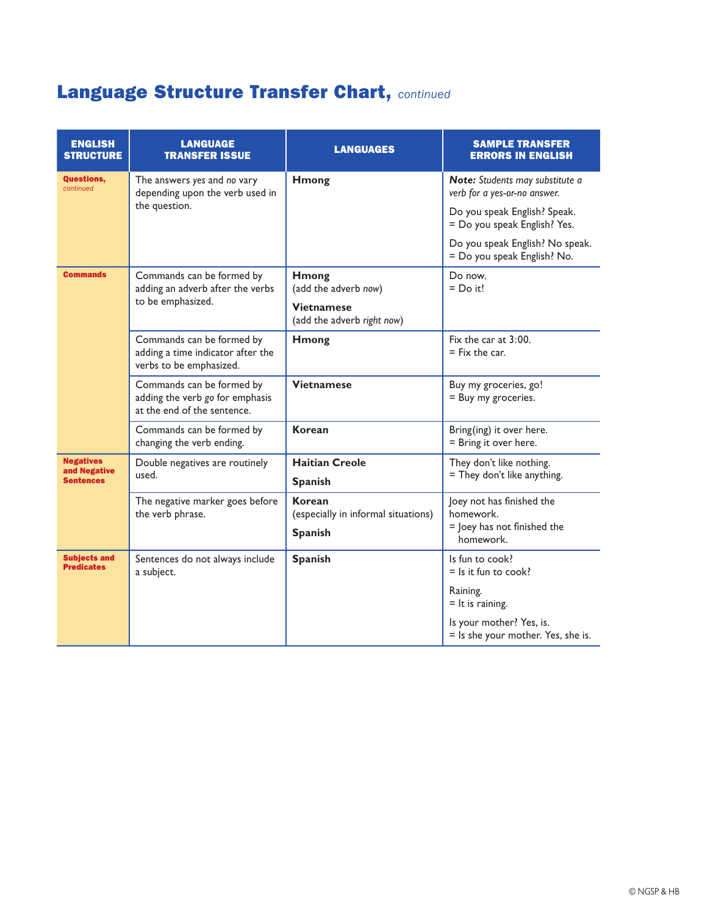| <b>ENGLISH</b><br><b>STRUCTURE</b>            | <b>LANGUAGE</b><br><b>TRANSFER ISSUE</b>                                                              | <b>LANGUAGES</b>                                                       | <b>SAMPLE TRANSFER</b><br><b>ERRORS IN ENGLISH</b>                                 |
|-----------------------------------------------|-------------------------------------------------------------------------------------------------------|------------------------------------------------------------------------|------------------------------------------------------------------------------------|
| <b>Questions,</b><br>continued                | The answers yes and no vary<br>depending upon the verb used in                                        | <b>Hmong</b>                                                           | Note: Students may substitute a<br>verb for a yes-or-no answer.                    |
|                                               | the question.                                                                                         |                                                                        | Do you speak English? Speak.<br>= Do you speak English? Yes.                       |
|                                               |                                                                                                       |                                                                        | Do you speak English? No speak.<br>= Do you speak English? No.                     |
| <b>Commands</b>                               | Commands can be formed by<br><b>Hmong</b><br>adding an adverb after the verbs<br>(add the adverb now) |                                                                        | Do now.<br>$=$ Do it!                                                              |
|                                               | to be emphasized.                                                                                     | <b>Vietnamese</b><br>(add the adverb right now)                        |                                                                                    |
|                                               | Commands can be formed by<br>adding a time indicator after the<br>verbs to be emphasized.             | <b>Hmong</b>                                                           | Fix the car at 3:00.<br>$=$ Fix the car.                                           |
|                                               | Commands can be formed by<br>adding the verb go for emphasis<br>at the end of the sentence.           | <b>Vietnamese</b>                                                      | Buy my groceries, go!<br>= Buy my groceries.                                       |
|                                               | Commands can be formed by<br>changing the verb ending.                                                | <b>Korean</b>                                                          | Bring(ing) it over here.<br>= Bring it over here.                                  |
| <b>Negatives</b><br>and Negative<br>Sentences | Double negatives are routinely<br>used.                                                               | <b>Haitian Creole</b><br><b>Spanish</b>                                | They don't like nothing.<br>= They don't like anything.                            |
|                                               | The negative marker goes before<br>the verb phrase.                                                   | <b>Korean</b><br>(especially in informal situations)<br><b>Spanish</b> | Joey not has finished the<br>homework.<br>= Joey has not finished the<br>homework. |
| <b>Subjects and</b><br><b>Predicates</b>      | Sentences do not always include<br>a subject.                                                         | <b>Spanish</b>                                                         | Is fun to cook?<br>$=$ Is it fun to cook?                                          |
|                                               |                                                                                                       |                                                                        | Raining.<br>$=$ It is raining.                                                     |
|                                               |                                                                                                       |                                                                        | Is your mother? Yes, is.<br>= Is she your mother. Yes, she is.                     |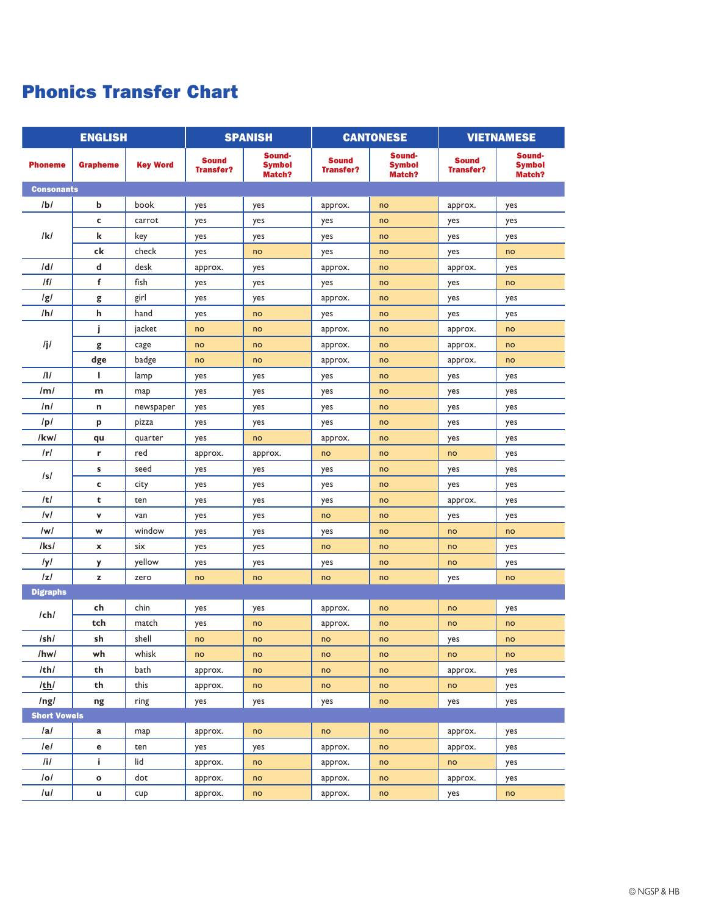## Phonics Transfer Chart

| <b>ENGLISH</b>      |                 | <b>SPANISH</b>  |                                  | <b>CANTONESE</b>                  |                                  | <b>VIETNAMESE</b>                        |                                  |                                   |
|---------------------|-----------------|-----------------|----------------------------------|-----------------------------------|----------------------------------|------------------------------------------|----------------------------------|-----------------------------------|
| <b>Phoneme</b>      | <b>Grapheme</b> | <b>Key Word</b> | <b>Sound</b><br><b>Transfer?</b> | Sound-<br><b>Symbol</b><br>Match? | <b>Sound</b><br><b>Transfer?</b> | Sound-<br><b>Symbol</b><br><b>Match?</b> | <b>Sound</b><br><b>Transfer?</b> | Sound-<br><b>Symbol</b><br>Match? |
| <b>Consonants</b>   |                 |                 |                                  |                                   |                                  |                                          |                                  |                                   |
| /b/                 | b               | book            | yes                              | yes                               | approx.                          | no                                       | approx.                          | yes                               |
|                     | c               | carrot          | yes                              | yes                               | yes                              | no                                       | yes                              | yes                               |
| k                   | k               | key             | yes                              | yes                               | yes                              | no                                       | yes                              | yes                               |
|                     | ck              | check           | yes                              | no                                | yes                              | no                                       | yes                              | no                                |
| /d/                 | d               | desk            | approx.                          | yes                               | approx.                          | no                                       | approx.                          | yes                               |
| /f/                 | $\mathbf f$     | fish            | yes                              | yes                               | yes                              | no                                       | yes                              | no                                |
| /g/                 | g               | girl            | yes                              | yes                               | approx.                          | no                                       | yes                              | yes                               |
| /h/                 | h               | hand            | yes                              | no                                | yes                              | no                                       | yes                              | yes                               |
|                     | j               | jacket          | no                               | no                                | approx.                          | no                                       | approx.                          | no                                |
| ljl                 | g               | cage            | no                               | no                                | approx.                          | no                                       | approx.                          | no                                |
|                     | dge             | badge           | no                               | no                                | approx.                          | no                                       | approx.                          | no                                |
| III                 | $\mathbf{I}$    | lamp            | yes                              | yes                               | yes                              | no                                       | yes                              | yes                               |
| /m/                 | m               | map             | yes                              | yes                               | yes                              | no                                       | yes                              | yes                               |
| /n/                 | n               | newspaper       | yes                              | yes                               | yes                              | no                                       | yes                              | yes                               |
| p                   | p               | pizza           | yes                              | yes                               | yes                              | no                                       | yes                              | yes                               |
| /kw/                | qu              | quarter         | yes                              | no                                | approx.                          | no                                       | yes                              | yes                               |
| r                   | r               | red             | approx.                          | approx.                           | no                               | no                                       | no                               | yes                               |
|                     | s               | seed            | yes                              | yes                               | yes                              | no                                       | yes                              | yes                               |
| s                   | c               | city            | yes                              | yes                               | yes                              | no                                       | yes                              | yes                               |
| /tl                 | t               | ten             | yes                              | yes                               | yes                              | no                                       | approx.                          | yes                               |
| v                   | v               | van             | yes                              | yes                               | no                               | no                                       | yes                              | yes                               |
| w                   | W               | window          | yes                              | yes                               | yes                              | no                                       | no                               | no                                |
| $ $ ks $ $          | x               | six             | yes                              | yes                               | no                               | no                                       | no                               | yes                               |
| y                   | y               | yellow          | yes                              | yes                               | yes                              | no                                       | no                               | yes                               |
| z                   | z               | zero            | no                               | no                                | no                               | no                                       | yes                              | no                                |
| <b>Digraphs</b>     |                 |                 |                                  |                                   |                                  |                                          |                                  |                                   |
| $/$ ch $/$          | ch              | chin            | yes                              | yes                               | approx.                          | no                                       | no                               | yes                               |
|                     | tch             | match           | yes                              | no                                | approx.                          | no                                       | no                               | no                                |
| /sh/                | sh              | shell           | no                               | no                                | no                               | no                                       | yes                              | no                                |
| /hw/                | wh              | whisk           | no                               | no                                | no                               | no                                       | no                               | no                                |
| /th                 | th              | bath            | approx.                          | no                                | no                               | no                                       | approx.                          | yes                               |
| $l$ th $l$          | th              | this            | approx.                          | no                                | no                               | no                                       | no                               | yes                               |
| /ng/                | ng              | ring            | yes                              | yes                               | yes                              | no                                       | yes                              | yes                               |
| <b>Short Vowels</b> |                 |                 |                                  |                                   |                                  |                                          |                                  |                                   |
| a                   | a               | map             | approx.                          | no                                | no                               | no                                       | approx.                          | yes                               |
| el                  | $\mathbf{e}$    | ten             | yes                              | yes                               | approx.                          | no                                       | approx.                          | yes                               |
| $\overline{11}$     | i.              | lid             | approx.                          | no                                | approx.                          | no                                       | no                               | yes                               |
| $\overline{101}$    | $\mathbf{o}$    | dot             | approx.                          | no                                | approx.                          | no                                       | approx.                          | yes                               |
| u                   | u               | cup             | approx.                          | no                                | approx.                          | no                                       | yes                              | no                                |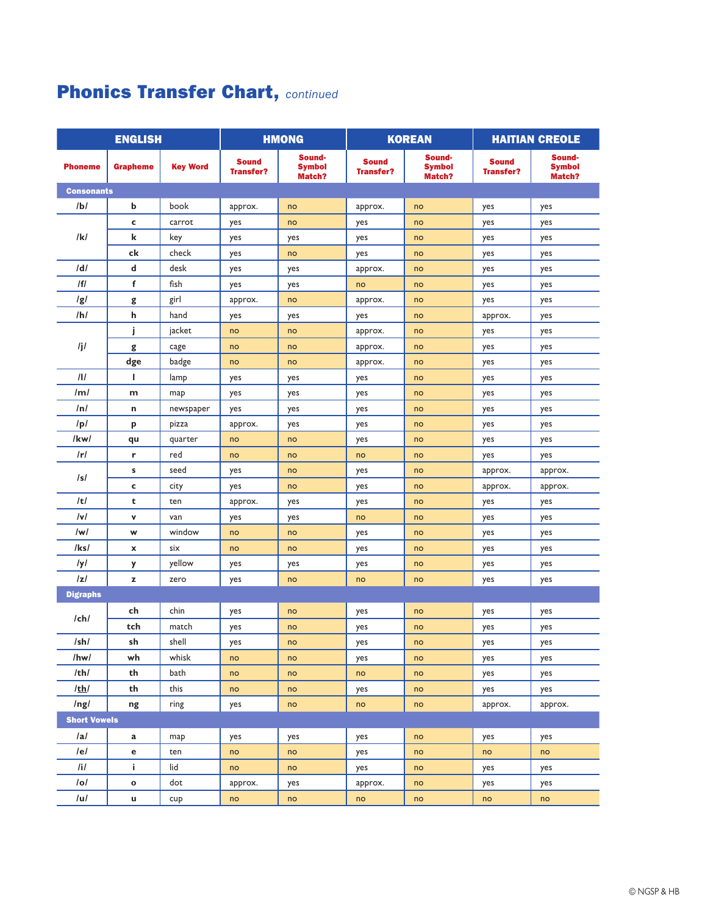# **Phonics Transfer Chart, Continued**

| <b>ENGLISH</b>      |                 | <b>HMONG</b>    |                                  | <b>KOREAN</b>                     |                                  | <b>HAITIAN CREOLE</b>             |                                  |                                   |
|---------------------|-----------------|-----------------|----------------------------------|-----------------------------------|----------------------------------|-----------------------------------|----------------------------------|-----------------------------------|
| <b>Phoneme</b>      | <b>Grapheme</b> | <b>Key Word</b> | <b>Sound</b><br><b>Transfer?</b> | Sound-<br><b>Symbol</b><br>Match? | <b>Sound</b><br><b>Transfer?</b> | Sound-<br><b>Symbol</b><br>Match? | <b>Sound</b><br><b>Transfer?</b> | Sound-<br><b>Symbol</b><br>Match? |
| <b>Consonants</b>   |                 |                 |                                  |                                   |                                  |                                   |                                  |                                   |
| /b/                 | b               | book            | approx.                          | no                                | approx.                          | no                                | yes                              | yes                               |
|                     | c               | carrot          | yes                              | no                                | yes                              | no                                | yes                              | yes                               |
| $ {\bf k} $         | k               | key             | yes                              | yes                               | yes                              | no                                | yes                              | yes                               |
|                     | ck              | check           | yes                              | no                                | yes                              | no                                | yes                              | yes                               |
| d                   | d               | desk            | yes                              | yes                               | approx.                          | no                                | yes                              | yes                               |
| f                   | $\mathbf f$     | fish            | yes                              | yes                               | no                               | no                                | yes                              | yes                               |
| /g/                 | g               | girl            | approx.                          | no                                | approx.                          | no                                | yes                              | yes                               |
| /h/                 | h               | hand            | yes                              | yes                               | yes                              | no                                | approx.                          | yes                               |
|                     | j               | jacket          | no                               | no                                | approx.                          | no                                | yes                              | yes                               |
| ljl                 | g               | cage            | no                               | no                                | approx.                          | no                                | yes                              | yes                               |
|                     | dge             | badge           | no                               | no                                | approx.                          | no                                | yes                              | yes                               |
| /1/                 | L               | lamp            | yes                              | yes                               | yes                              | no                                | yes                              | yes                               |
| /m/                 | m               | map             | yes                              | yes                               | yes                              | no                                | yes                              | yes                               |
| /n/                 | n               | newspaper       | yes                              | yes                               | yes                              | no                                | yes                              | yes                               |
| p                   | p               | pizza           | approx.                          | yes                               | yes                              | no                                | yes                              | yes                               |
| /kw/                | qu              | quarter         | no                               | no                                | yes                              | no                                | yes                              | yes                               |
| r                   | r               | red             | no                               | no                                | no                               | no                                | yes                              | yes                               |
|                     | s               | seed            | yes                              | no                                | yes                              | no                                | approx.                          | approx.                           |
| s                   | c               | city            | yes                              | no                                | yes                              | no                                | approx.                          | approx.                           |
| /t/                 | t               | ten             | approx.                          | yes                               | yes                              | no                                | yes                              | yes                               |
| v                   | v               | van             | yes                              | yes                               | no                               | no                                | yes                              | yes                               |
| w                   | W               | window          | no                               | no                                | yes                              | no                                | yes                              | yes                               |
| $ $ ks $ $          | x               | six             | no                               | no                                | yes                              | no                                | yes                              | yes                               |
| $\frac{1}{2}$       | y               | yellow          | yes                              | yes                               | yes                              | no                                | yes                              | yes                               |
| z                   | z               | zero            | yes                              | no                                | no                               | no                                | yes                              | yes                               |
| Digraphs            |                 |                 |                                  |                                   |                                  |                                   |                                  |                                   |
|                     | ch              | chin            | yes                              | no                                | yes                              | no                                | yes                              | yes                               |
| /ch/                | $\mathsf{tch}$  | match           | yes                              | no                                | yes                              | no                                | yes                              | yes                               |
| /sh/                | ${\sf sh}$      | shell           | yes                              | no                                | yes                              | no                                | yes                              | yes                               |
| /hw/                | wh              | whisk           | no                               | no                                | yes                              | no                                | yes                              | yes                               |
| /th                 | th              | bath            | no                               | no                                | no                               | no                                | yes                              | yes                               |
| /th                 | th              | this            | no                               | no                                | yes                              | no                                | yes                              | yes                               |
| ln g/               | ng              | ring            | yes                              | no                                | no                               | no                                | approx.                          | approx.                           |
| <b>Short Vowels</b> |                 |                 |                                  |                                   |                                  |                                   |                                  |                                   |
| /al                 | $\bf a$         | map             | yes                              | yes                               | yes                              | no                                | yes                              | yes                               |
| /el                 | $\mathbf{e}$    | ten             | no                               | no                                | yes                              | no                                | no                               | no                                |
| $\overline{I}$      | i.              | lid             | no                               | no                                | yes                              | no                                | yes                              | yes                               |
| $\overline{I}$      | $\mathbf{o}$    | dot             | approx.                          | yes                               | approx.                          | no                                | yes                              | yes                               |
| ul                  | u               | cup             | no                               | no                                | no                               | no                                | no                               | no                                |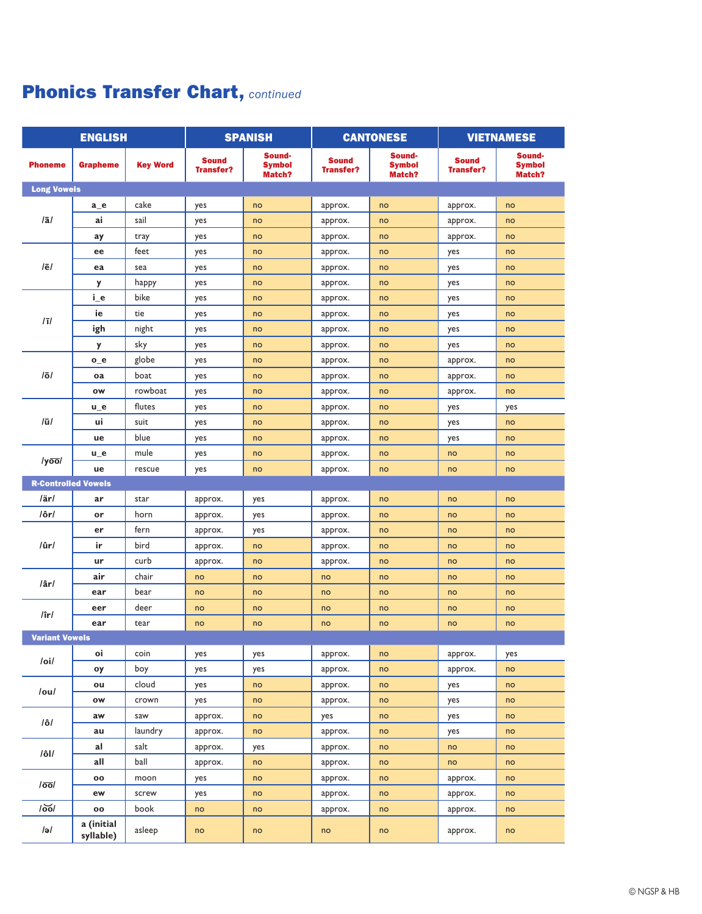# **Phonics Transfer Chart, Continued**

| <b>ENGLISH</b>             |                         | <b>SPANISH</b>  |                                  | <b>CANTONESE</b>                         |                                  | <b>VIETNAMESE</b>                 |                                  |                                   |
|----------------------------|-------------------------|-----------------|----------------------------------|------------------------------------------|----------------------------------|-----------------------------------|----------------------------------|-----------------------------------|
| <b>Phoneme</b>             | <b>Grapheme</b>         | <b>Key Word</b> | <b>Sound</b><br><b>Transfer?</b> | Sound-<br><b>Symbol</b><br><b>Match?</b> | <b>Sound</b><br><b>Transfer?</b> | Sound-<br><b>Symbol</b><br>Match? | <b>Sound</b><br><b>Transfer?</b> | Sound-<br><b>Symbol</b><br>Match? |
| <b>Long Vowels</b>         |                         |                 |                                  |                                          |                                  |                                   |                                  |                                   |
|                            | $a_e$                   | cake            | yes                              | no                                       | approx.                          | no                                | approx.                          | no                                |
| $l\bar{a}l$                | ai                      | sail            | yes                              | no                                       | approx.                          | no                                | approx.                          | no                                |
|                            | ay                      | tray            | yes                              | no                                       | approx.                          | no                                | approx.                          | no                                |
|                            | ee                      | feet            | yes                              | no                                       | approx.                          | no                                | yes                              | no                                |
| $ \bar{e} $                | ea                      | sea             | yes                              | no                                       | approx.                          | no                                | yes                              | no                                |
|                            | y                       | happy           | yes                              | no                                       | approx.                          | no                                | yes                              | no                                |
|                            | $i_e$                   | bike            | yes                              | no                                       | approx.                          | no                                | yes                              | no                                |
|                            | ie                      | tie             | yes                              | no                                       | approx.                          | no                                | yes                              | no                                |
| T                          | igh                     | night           | yes                              | no                                       | approx.                          | no                                | yes                              | no                                |
|                            | y                       | sky             | yes                              | no                                       | approx.                          | no                                | yes                              | no                                |
|                            | $o_e$                   | globe           | yes                              | no                                       | approx.                          | no                                | approx.                          | no                                |
| $ \bar{o} $                | oa                      | boat            | yes                              | no                                       | approx.                          | no                                | approx.                          | no                                |
|                            | ow                      | rowboat         | yes                              | no                                       | approx.                          | no                                | approx.                          | no                                |
|                            | $u_e$                   | flutes          | yes                              | no                                       | approx.                          | no                                | yes                              | yes                               |
| $/\bar{u}/$                | ui                      | suit            | yes                              | no                                       | approx.                          | no                                | yes                              | no                                |
|                            | ue                      | blue            | yes                              | no                                       | approx.                          | no                                | yes                              | no                                |
|                            | $u_e$                   | mule            | yes                              | no                                       | approx.                          | no                                | no                               | no                                |
| lyool                      | ue                      | rescue          | yes                              | no                                       | approx.                          | no                                | no                               | no                                |
| <b>R-Controlled Vowels</b> |                         |                 |                                  |                                          |                                  |                                   |                                  |                                   |
| /är/                       | ar                      | star            | approx.                          | yes                                      | approx.                          | no                                | no                               | no                                |
| /ôr/                       | or                      | horn            | approx.                          | yes                                      | approx.                          | no                                | no                               | no                                |
|                            | er                      | fern            | approx.                          | yes                                      | approx.                          | no                                | no                               | no                                |
| /ûr/                       | ir                      | bird            | approx.                          | no                                       | approx.                          | no                                | no                               | no                                |
|                            | ur                      | curb            | approx.                          | no                                       | approx.                          | no                                | no                               | no                                |
|                            | air                     | chair           | no                               | no                                       | no                               | no                                | no                               | no                                |
| /âr/                       | ear                     | bear            | no                               | no                                       | no                               | no                                | no                               | no                                |
|                            | eer                     | deer            | no                               | no                                       | no                               | no                                | no                               | no                                |
| /îr/                       | ear                     | tear            | no                               | no                                       | no                               | no                                | no                               | no                                |
| <b>Variant Vowels</b>      |                         |                 |                                  |                                          |                                  |                                   |                                  |                                   |
| /oi/                       | oi                      | coin            | yes                              | yes                                      | approx.                          | no                                | approx.                          | yes                               |
|                            | оу                      | boy             | yes                              | yes                                      | approx.                          | no                                | approx.                          | no                                |
|                            | ou                      | cloud           | yes                              | no                                       | approx.                          | no                                | yes                              | no                                |
| /ou/                       | ow                      | crown           | yes                              | no                                       | approx.                          | no                                | yes                              | no                                |
|                            | aw                      | saw             | approx.                          | no                                       | yes                              | no                                | yes                              | no                                |
| /ô/                        | au                      | laundry         | approx.                          | no                                       | approx.                          | no                                | yes                              | no                                |
|                            | al                      | salt            | approx.                          | yes                                      | approx.                          | no                                | no                               | no                                |
| /ôl/                       | all                     | ball            | approx.                          | no                                       | approx.                          | no                                | no                               | no                                |
|                            | oo                      | moon            | yes                              | no                                       | approx.                          | no                                | approx.                          | no                                |
| 1001                       | ew                      | screw           | yes                              | no                                       | approx.                          | no                                | approx.                          | no                                |
| 100/                       | 00                      | book            | no                               | no                                       | approx.                          | no                                | approx.                          | no                                |
| /ə                         | a (initial<br>syllable) | asleep          | no                               | no                                       | no                               | no                                | approx.                          | no                                |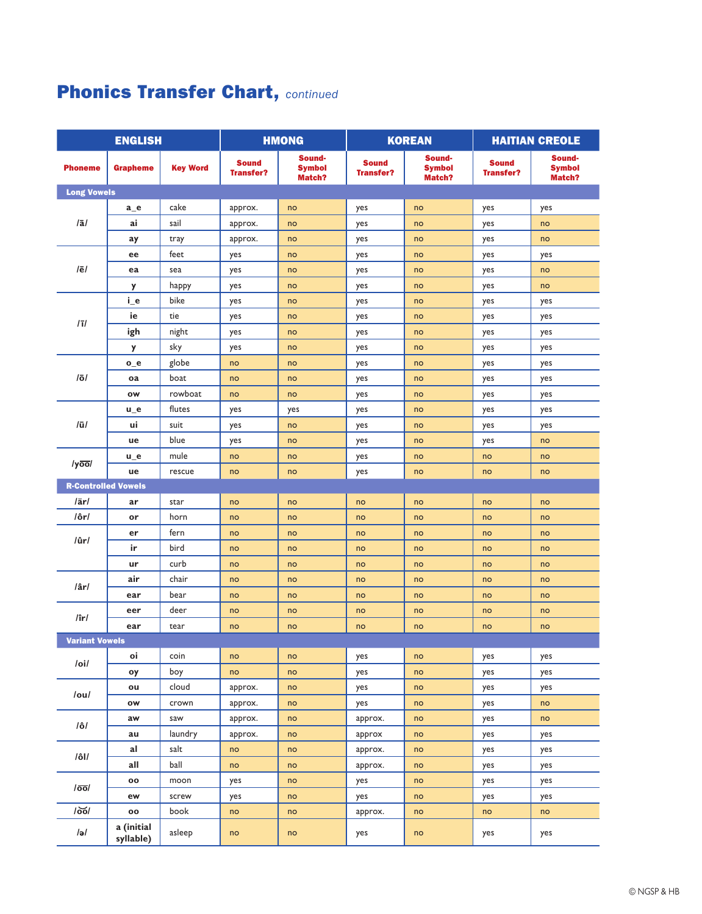## **Phonics Transfer Chart, continued**

| <b>ENGLISH</b>             |                         | <b>HMONG</b>    |                                  | <b>KOREAN</b>                            |                                  | <b>HAITIAN CREOLE</b>             |                                  |                                   |
|----------------------------|-------------------------|-----------------|----------------------------------|------------------------------------------|----------------------------------|-----------------------------------|----------------------------------|-----------------------------------|
| <b>Phoneme</b>             | <b>Grapheme</b>         | <b>Key Word</b> | <b>Sound</b><br><b>Transfer?</b> | Sound-<br><b>Symbol</b><br><b>Match?</b> | <b>Sound</b><br><b>Transfer?</b> | Sound-<br><b>Symbol</b><br>Match? | <b>Sound</b><br><b>Transfer?</b> | Sound-<br><b>Symbol</b><br>Match? |
| <b>Long Vowels</b>         |                         |                 |                                  |                                          |                                  |                                   |                                  |                                   |
|                            | $a_e$                   | cake            | approx.                          | no                                       | yes                              | no                                | yes                              | yes                               |
| $ \bar{a} $                | ai                      | sail            | approx.                          | no                                       | yes                              | no                                | yes                              | no                                |
|                            | ay                      | tray            | approx.                          | no                                       | yes                              | no                                | yes                              | no                                |
|                            | ee                      | feet            | yes                              | no                                       | yes                              | no                                | yes                              | yes                               |
| $ \bar{e} $                | ea                      | sea             | yes                              | no                                       | yes                              | no                                | yes                              | no                                |
|                            | y                       | happy           | yes                              | no                                       | yes                              | no                                | yes                              | no                                |
|                            | $i_e$                   | bike            | yes                              | no                                       | yes                              | no                                | yes                              | yes                               |
| T                          | ie                      | tie             | yes                              | no                                       | yes                              | no                                | yes                              | yes                               |
|                            | igh                     | night           | yes                              | no                                       | yes                              | no                                | yes                              | yes                               |
|                            | y                       | sky             | yes                              | no                                       | yes                              | no                                | yes                              | yes                               |
|                            | $o_e$                   | globe           | no                               | no                                       | yes                              | no                                | yes                              | yes                               |
| $ \bar{o} $                | oa                      | boat            | no                               | no                                       | yes                              | no                                | yes                              | yes                               |
|                            | ow                      | rowboat         | no                               | no                                       | yes                              | no                                | yes                              | yes                               |
|                            | $u_e$                   | flutes          | yes                              | yes                                      | yes                              | no                                | yes                              | yes                               |
| $/\bar{u}/$                | ui                      | suit            | yes                              | no                                       | yes                              | no                                | yes                              | yes                               |
|                            | ue                      | blue            | yes                              | no                                       | yes                              | no                                | yes                              | no                                |
| /yoo/                      | $u_e$                   | mule            | no                               | no                                       | yes                              | no                                | no                               | no                                |
|                            | ue                      | rescue          | no                               | no                                       | yes                              | no                                | no                               | no                                |
| <b>R-Controlled Vowels</b> |                         |                 |                                  |                                          |                                  |                                   |                                  |                                   |
| /är/                       | ar                      | star            | no                               | no                                       | no                               | no                                | no                               | no                                |
| /ôr/                       | or                      | horn            | no                               | no                                       | no                               | no                                | no                               | no                                |
| /ûr/                       | er                      | fern            | no                               | no                                       | no                               | no                                | no                               | no                                |
|                            | ir                      | bird            | no                               | no                                       | no                               | no                                | no                               | no                                |
|                            | ur                      | curb            | no                               | no                                       | no                               | no                                | no                               | no                                |
| /âr/                       | air                     | chair           | no                               | no                                       | no                               | no                                | no                               | no                                |
|                            | ear                     | bear            | no                               | no                                       | no                               | no                                | no                               | no                                |
| $/$ îr $/$                 | eer                     | deer            | no                               | no                                       | no                               | no                                | no                               | no                                |
|                            | ear                     | tear            | no                               | no                                       | no                               | no                                | no                               | no                                |
| <b>Variant Vowels</b>      |                         |                 |                                  |                                          |                                  |                                   |                                  |                                   |
| loil                       | oi                      | coin            | no                               | no                                       | yes                              | no                                | yes                              | yes                               |
|                            | оу                      | boy             | no                               | no                                       | yes                              | no                                | yes                              | yes                               |
| /ou/                       | ou                      | cloud           | approx.                          | no                                       | yes                              | no                                | yes                              | yes                               |
|                            | ow                      | crown           | approx.                          | no                                       | yes                              | no                                | yes                              | no                                |
| /ô/                        | aw                      | saw             | approx.                          | no                                       | approx.                          | no                                | yes                              | no                                |
|                            | au                      | laundry         | approx.                          | no                                       | approx                           | no                                | yes                              | yes                               |
| /ôl/                       | al                      | salt            | no                               | no                                       | approx.                          | no                                | yes                              | yes                               |
|                            | all                     | ball            | no                               | no                                       | approx.                          | no                                | yes                              | yes                               |
| 1001                       | oo                      | moon            | yes                              | no                                       | yes                              | no                                | yes                              | yes                               |
|                            | ew                      | screw           | yes                              | no                                       | yes                              | no                                | yes                              | yes                               |
| 100/                       | 00                      | book            | no                               | no                                       | approx.                          | no                                | no                               | no                                |
| IəI                        | a (initial<br>syllable) | asleep          | no                               | no                                       | yes                              | no                                | yes                              | yes                               |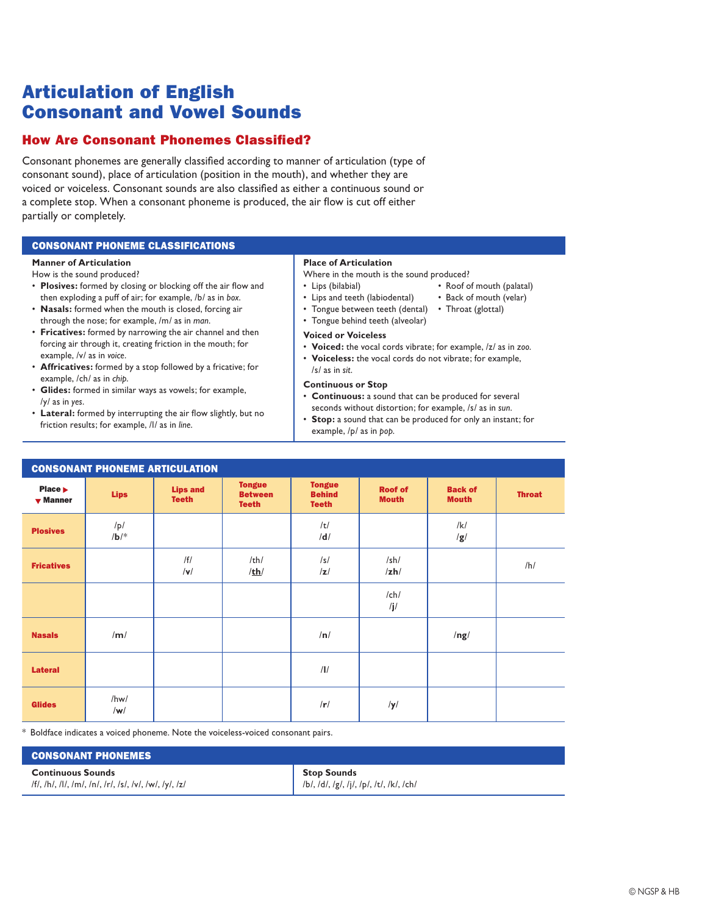## Articulation of English Consonant and Vowel Sounds

## How Are Consonant Phonemes Classified?

Consonant phonemes are generally classified according to manner of articulation (type of consonant sound), place of articulation (position in the mouth), and whether they are voiced or voiceless. Consonant sounds are also classified as either a continuous sound or a complete stop. When a consonant phoneme is produced, the air flow is cut off either partially or completely.

#### CONSONANT PHONEME CLASSIFICATIONS

#### **Manner of Articulation**

#### How is the sound produced?

- **Plosives:** formed by closing or blocking off the air flow and then exploding a puff of air; for example, /b/ as in *box*.
- Nasals: formed when the mouth is closed, forcing air through the nose; for example, /m/ as in *man*.
- **Fricatives:** formed by narrowing the air channel and then forcing air through it, creating friction in the mouth; for example, /v/ as in *voice*.
- **· Affricatives:** formed by a stop followed by a fricative; for example, /ch/ as in *chip*.
- **Glides:** formed in similar ways as vowels; for example, /y/ as in *yes*.
- **· Lateral:** formed by interrupting the air flow slightly, but no friction results; for example, /l/ as in *line*.

#### **Place of Articulation**

Where in the mouth is the sound produced?

- 
- Lips (bilabial) Roof of mouth (palatal) • Lips and teeth (labiodental) • Back of mouth (velar)
	-
- Tongue between teeth (dental) Throat (glottal) • Tongue behind teeth (alveolar)
	-
- **Voiced or Voiceless**
- s **Voiced:** the vocal cords vibrate; for example, /z/ as in *zoo*.
- **Voiceless:** the vocal cords do not vibrate; for example, /s/ as in *sit*.

#### **Continuous or Stop**

- **Continuous:** a sound that can be produced for several seconds without distortion; for example, /s/ as in *sun*.
- **· Stop:** a sound that can be produced for only an instant; for example, /p/ as in *pop*.

| <b>CONSONANT PHONEME ARTICULATION</b>                 |               |                                 |                                                 |                                                |                                |                                |               |  |
|-------------------------------------------------------|---------------|---------------------------------|-------------------------------------------------|------------------------------------------------|--------------------------------|--------------------------------|---------------|--|
| $Place \triangleright$<br>$\blacktriangledown$ Manner | <b>Lips</b>   | <b>Lips and</b><br><b>Teeth</b> | <b>Tongue</b><br><b>Between</b><br><b>Teeth</b> | <b>Tongue</b><br><b>Behind</b><br><b>Teeth</b> | <b>Roof of</b><br><b>Mouth</b> | <b>Back of</b><br><b>Mouth</b> | <b>Throat</b> |  |
| <b>Plosives</b>                                       | /p/<br>$/b/*$ |                                 |                                                 | /t/<br>/d/                                     |                                | $/$ k $/$<br>/g/               |               |  |
| <b>Fricatives</b>                                     |               | / f/<br> v                      | /th/<br>$/$ th $/$                              | /s/<br> z                                      | /sh/<br> zh                    |                                | /h/           |  |
|                                                       |               |                                 |                                                 |                                                | /ch/<br>$\frac{1}{\pi}$        |                                |               |  |
| <b>Nasals</b>                                         | /m/           |                                 |                                                 | /n/                                            |                                | $/$ ng/                        |               |  |
| <b>Lateral</b>                                        |               |                                 |                                                 | /1/                                            |                                |                                |               |  |
| <b>Glides</b>                                         | /hw/<br>/w/   |                                 |                                                 | /r/                                            | /y/                            |                                |               |  |

\* Boldface indicates a voiced phoneme. Note the voiceless-voiced consonant pairs.

| <b>CONSONANT PHONEMES</b>                             |                                         |  |  |  |  |
|-------------------------------------------------------|-----------------------------------------|--|--|--|--|
| <b>Continuous Sounds</b>                              | <b>Stop Sounds</b>                      |  |  |  |  |
| /f/, /h/, /l/, /m/, /n/, /r/, /s/, /v/, /w/, /y/, /z/ | /b/, /d/, /g/, /j/, /p/, /t/, /k/, /ch/ |  |  |  |  |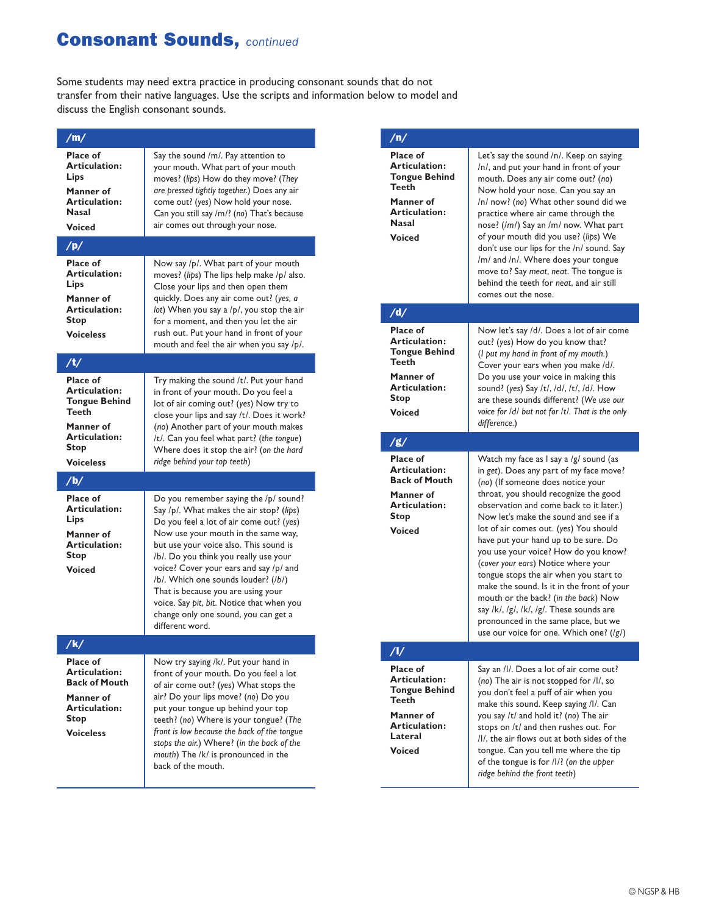## **Consonant Sounds, continued**

Some students may need extra practice in producing consonant sounds that do not transfer from their native languages. Use the scripts and information below to model and discuss the English consonant sounds.

| /m/                                                                                                                          |                                                                                                                                                                                                                                                                                                                                                                                                                                                                                        |
|------------------------------------------------------------------------------------------------------------------------------|----------------------------------------------------------------------------------------------------------------------------------------------------------------------------------------------------------------------------------------------------------------------------------------------------------------------------------------------------------------------------------------------------------------------------------------------------------------------------------------|
| Place of<br><b>Articulation:</b><br>Lips<br>Manner of<br>Articulation:<br>Nasal<br><b>Voiced</b>                             | Say the sound /m/. Pay attention to<br>your mouth. What part of your mouth<br>moves? (lips) How do they move? (They<br>are pressed tightly together.) Does any air<br>come out? (yes) Now hold your nose.<br>Can you still say /m/? (no) That's because<br>air comes out through your nose.                                                                                                                                                                                            |
| /p/                                                                                                                          |                                                                                                                                                                                                                                                                                                                                                                                                                                                                                        |
| Place of<br><b>Articulation:</b><br>Lips<br>Manner of<br><b>Articulation:</b><br><b>Stop</b><br><b>Voiceless</b>             | Now say /p/. What part of your mouth<br>moves? (lips) The lips help make /p/ also.<br>Close your lips and then open them<br>quickly. Does any air come out? (yes, a<br>lot) When you say a /p/, you stop the air<br>for a moment, and then you let the air<br>rush out. Put your hand in front of your<br>mouth and feel the air when you say /p/.                                                                                                                                     |
| /t/                                                                                                                          |                                                                                                                                                                                                                                                                                                                                                                                                                                                                                        |
| <b>Place of</b><br><b>Articulation:</b><br><b>Tongue Behind</b><br>Teeth<br>Manner of<br><b>Articulation:</b><br><b>Stop</b> | Try making the sound /t/. Put your hand<br>in front of your mouth. Do you feel a<br>lot of air coming out? (yes) Now try to<br>close your lips and say /t/. Does it work?<br>(no) Another part of your mouth makes<br>/t/. Can you feel what part? (the tongue)<br>Where does it stop the air? (on the hard                                                                                                                                                                            |
| <b>Voiceless</b>                                                                                                             | ridge behind your top teeth)                                                                                                                                                                                                                                                                                                                                                                                                                                                           |
| /b/                                                                                                                          |                                                                                                                                                                                                                                                                                                                                                                                                                                                                                        |
| <b>Place of</b><br><b>Articulation:</b><br>Lips<br>Manner of<br><b>Articulation:</b><br><b>Stop</b><br>Voiced                | Do you remember saying the /p/ sound?<br>Say /p/. What makes the air stop? (lips)<br>Do you feel a lot of air come out? (yes)<br>Now use your mouth in the same way,<br>but use your voice also. This sound is<br>/b/. Do you think you really use your<br>voice? Cover your ears and say /p/ and<br>/b/. Which one sounds louder? (/b/)<br>That is because you are using your<br>voice. Say pit, bit. Notice that when you<br>change only one sound, you can get a<br>different word. |
| $/$ k/                                                                                                                       |                                                                                                                                                                                                                                                                                                                                                                                                                                                                                        |
| <b>Place of</b><br><b>Articulation:</b><br><b>Back of Mouth</b><br>Manner of<br><b>Articulation:</b><br><b>Stop</b>          | Now try saying /k/. Put your hand in<br>front of your mouth. Do you feel a lot<br>of air come out? (yes) What stops the<br>air? Do your lips move? (no) Do you<br>put your tongue up behind your top<br>teeth? (no) Where is your tongue? (The                                                                                                                                                                                                                                         |

#### /n/ **Place of Articulation: Tongue Behind Teeth Manner of Articulation: Nasal Voiced** Let's say the sound /n/. Keep on saying /n/, and put your hand in front of your mouth. Does any air come out? (*no*) Now hold your nose. Can you say an /n/ now? (*no*) What other sound did we practice where air came through the nose? (/*m*/) Say an /m/ now. What part of your mouth did you use? (*lips*) We don't use our lips for the /n/ sound. Say /m/ and /n/. Where does your tongue move to? Say *meat*, *neat*. The tongue is behind the teeth for *neat*, and air still comes out the nose. /d/ **Place of Articulation: Tongue Behind Teeth Manner of Articulation: Stop Voiced** Now let's say /d/. Does a lot of air come out? (*yes*) How do you know that? (*I put my hand in front of my mouth.*) Cover your ears when you make /d/. Do you use your voice in making this sound? (*yes*) Say /t/, /d/, /t/, /d/. How are these sounds different? (*We use our voice for* /*d*/ *but not for* /*t*/*. That is the only difference.*) /g/ **Place of Articulation: Back of Mouth Manner of Articulation: Stop Voiced** Watch my face as I say a /g/ sound (as in *get*). Does any part of my face move? (*no*) (If someone does notice your throat, you should recognize the good observation and come back to it later.) Now let's make the sound and see if a lot of air comes out. (*yes*) You should have put your hand up to be sure. Do you use your voice? How do you know? (*cover your ears*) Notice where your tongue stops the air when you start to make the sound. Is it in the front of your mouth or the back? (*in the back*) Now say /k/, /g/, /k/, /g/. These sounds are pronounced in the same place, but we use our voice for one. Which one? (/*g*/) /l/ **Place of Articulation: Tongue Behind Teeth Manner of Articulation: Lateral Voiced** Say an /l/. Does a lot of air come out? (*no*) The air is not stopped for /l/, so you don't feel a puff of air when you make this sound. Keep saying /l/. Can you say /t/ and hold it? (*no*) The air stops on /t/ and then rushes out. For /l/, the air flows out at both sides of the tongue. Can you tell me where the tip of the tongue is for /l/? (*on the upper ridge behind the front teeth*)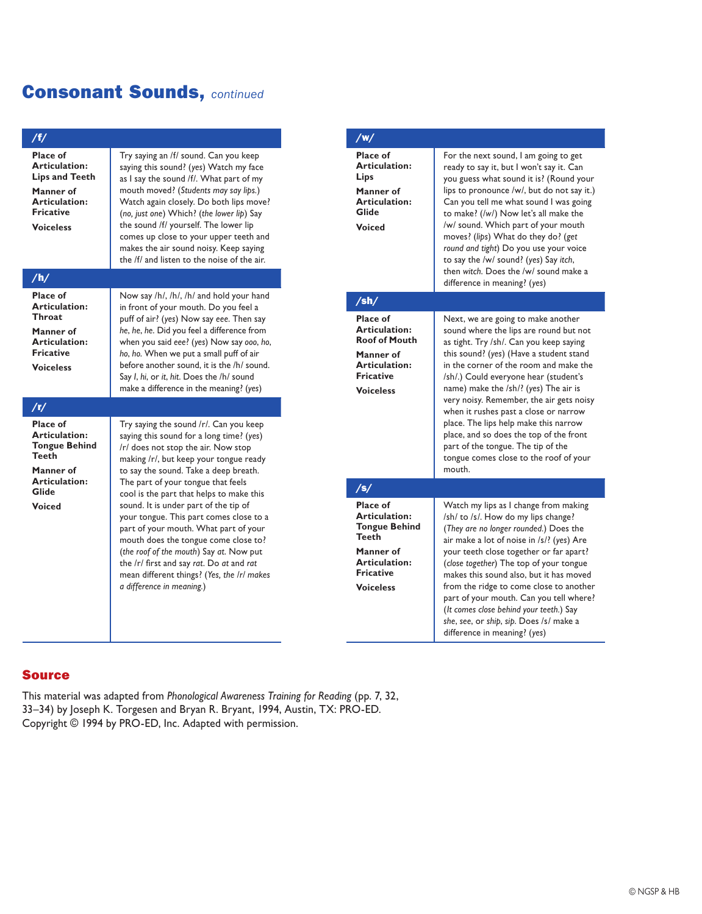## Consonant Sounds, continued

| /f/                                                                                                                                           |                                                                                                                                                                                                                                                                                                                                                                                                                                         | /w/                                                                                                                                                          |                                                                                                                                                                                                                                                                                                                                                                                                                                                                                                                                                                   |  |
|-----------------------------------------------------------------------------------------------------------------------------------------------|-----------------------------------------------------------------------------------------------------------------------------------------------------------------------------------------------------------------------------------------------------------------------------------------------------------------------------------------------------------------------------------------------------------------------------------------|--------------------------------------------------------------------------------------------------------------------------------------------------------------|-------------------------------------------------------------------------------------------------------------------------------------------------------------------------------------------------------------------------------------------------------------------------------------------------------------------------------------------------------------------------------------------------------------------------------------------------------------------------------------------------------------------------------------------------------------------|--|
| Place of<br><b>Articulation:</b><br><b>Lips and Teeth</b><br>Manner of<br><b>Articulation:</b><br><b>Fricative</b><br><b>Voiceless</b><br>/h/ | Try saying an /f/ sound. Can you keep<br>saying this sound? (yes) Watch my face<br>as I say the sound /f/. What part of my<br>mouth moved? (Students may say lips.)<br>Watch again closely. Do both lips move?<br>(no, just one) Which? (the lower lip) Say<br>the sound /f/ yourself. The lower lip<br>comes up close to your upper teeth and<br>makes the air sound noisy. Keep saying<br>the /f/ and listen to the noise of the air. | <b>Place of</b><br><b>Articulation:</b><br>Lips<br>Manner of<br><b>Articulation:</b><br>Glide<br><b>Voiced</b>                                               | For the next sound, I am going to get<br>ready to say it, but I won't say it. Can<br>you guess what sound it is? (Round your<br>lips to pronounce /w/, but do not say it.)<br>Can you tell me what sound I was going<br>to make? (/w/) Now let's all make the<br>/w/ sound. Which part of your mouth<br>moves? (lips) What do they do? (get<br>round and tight) Do you use your voice<br>to say the /w/ sound? (yes) Say itch,<br>then witch. Does the /w/ sound make a                                                                                           |  |
| Place of                                                                                                                                      | Now say /h/, /h/, /h/ and hold your hand                                                                                                                                                                                                                                                                                                                                                                                                | /sh/                                                                                                                                                         | difference in meaning? (yes)                                                                                                                                                                                                                                                                                                                                                                                                                                                                                                                                      |  |
| Articulation:<br>Throat<br><b>Manner of</b><br><b>Articulation:</b><br><b>Fricative</b><br><b>Voiceless</b><br>/r/                            | in front of your mouth. Do you feel a<br>puff of air? (yes) Now say eee. Then say<br>he, he, he. Did you feel a difference from<br>when you said eee? (yes) Now say ooo, ho,<br>ho, ho. When we put a small puff of air<br>before another sound, it is the /h/ sound.<br>Say I, hi, or it, hit. Does the /h/ sound<br>make a difference in the meaning? (yes)                                                                           | <b>Place of</b><br><b>Articulation:</b><br><b>Roof of Mouth</b><br>Manner of<br><b>Articulation:</b><br><b>Fricative</b><br><b>Voiceless</b>                 | Next, we are going to make another<br>sound where the lips are round but not<br>as tight. Try /sh/. Can you keep saying<br>this sound? (yes) (Have a student stand<br>in the corner of the room and make the<br>/sh/.) Could everyone hear (student's<br>name) make the /sh/? (yes) The air is<br>very noisy. Remember, the air gets noisy<br>when it rushes past a close or narrow<br>place. The lips help make this narrow<br>place, and so does the top of the front<br>part of the tongue. The tip of the<br>tongue comes close to the roof of your<br>mouth. |  |
| Place of<br><b>Articulation:</b><br><b>Tongue Behind</b><br><b>Teeth</b><br>Manner of                                                         | Try saying the sound /r/. Can you keep<br>saying this sound for a long time? (yes)<br>/r/ does not stop the air. Now stop<br>making /r/, but keep your tongue ready<br>to say the sound. Take a deep breath.                                                                                                                                                                                                                            |                                                                                                                                                              |                                                                                                                                                                                                                                                                                                                                                                                                                                                                                                                                                                   |  |
| Articulation:<br>Glide                                                                                                                        | The part of your tongue that feels<br>cool is the part that helps to make this                                                                                                                                                                                                                                                                                                                                                          | /s/                                                                                                                                                          |                                                                                                                                                                                                                                                                                                                                                                                                                                                                                                                                                                   |  |
| <b>Voiced</b>                                                                                                                                 | sound. It is under part of the tip of<br>your tongue. This part comes close to a<br>part of your mouth. What part of your<br>mouth does the tongue come close to?<br>(the roof of the mouth) Say at. Now put<br>the /r/ first and say rat. Do at and rat<br>mean different things? (Yes, the /r/ makes<br>a difference in meaning.)                                                                                                     | <b>Place of</b><br><b>Articulation:</b><br><b>Tongue Behind</b><br><b>Teeth</b><br>Manner of<br><b>Articulation:</b><br><b>Fricative</b><br><b>Voiceless</b> | Watch my lips as I change from making<br>/sh/ to /s/. How do my lips change?<br>(They are no longer rounded.) Does the<br>air make a lot of noise in /s/? (yes) Are<br>your teeth close together or far apart?<br>(close together) The top of your tongue<br>makes this sound also, but it has moved<br>from the ridge to come close to another<br>part of your mouth. Can you tell where?<br>(It comes close behind your teeth.) Say<br>she, see, or ship, sip. Does /s/ make a<br>difference in meaning? (yes)                                                  |  |

### Source

This material was adapted from *Phonological Awareness Training for Reading* (pp. 7, 32, 33–34) by Joseph K. Torgesen and Bryan R. Bryant, 1994, Austin, TX: PRO-ED. Copyright © 1994 by PRO-ED, Inc. Adapted with permission.